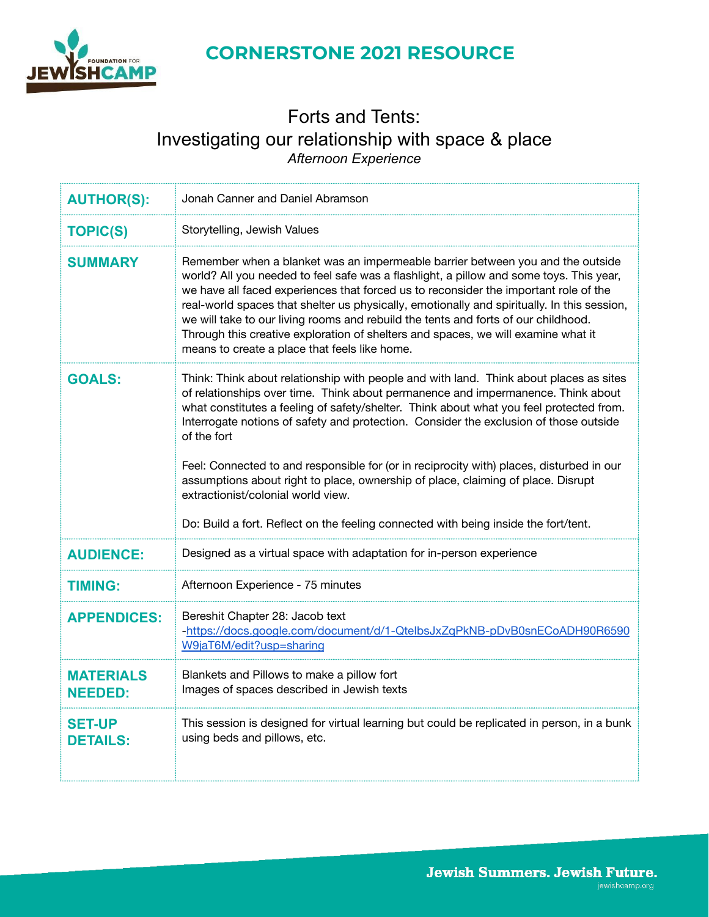

### Forts and Tents: Investigating our relationship with space & place *Afternoon Experience*

| <b>AUTHOR(S):</b>                  | Jonah Canner and Daniel Abramson                                                                                                                                                                                                                                                                                                                                                                                                                                                                                                                                                                                                                                                           |
|------------------------------------|--------------------------------------------------------------------------------------------------------------------------------------------------------------------------------------------------------------------------------------------------------------------------------------------------------------------------------------------------------------------------------------------------------------------------------------------------------------------------------------------------------------------------------------------------------------------------------------------------------------------------------------------------------------------------------------------|
| <b>TOPIC(S)</b>                    | Storytelling, Jewish Values                                                                                                                                                                                                                                                                                                                                                                                                                                                                                                                                                                                                                                                                |
| SUMMARY                            | Remember when a blanket was an impermeable barrier between you and the outside<br>world? All you needed to feel safe was a flashlight, a pillow and some toys. This year,<br>we have all faced experiences that forced us to reconsider the important role of the<br>real-world spaces that shelter us physically, emotionally and spiritually. In this session,<br>we will take to our living rooms and rebuild the tents and forts of our childhood.<br>Through this creative exploration of shelters and spaces, we will examine what it<br>means to create a place that feels like home.                                                                                               |
| <b>GOALS:</b>                      | Think: Think about relationship with people and with land. Think about places as sites<br>of relationships over time. Think about permanence and impermanence. Think about<br>what constitutes a feeling of safety/shelter. Think about what you feel protected from.<br>Interrogate notions of safety and protection. Consider the exclusion of those outside<br>of the fort<br>Feel: Connected to and responsible for (or in reciprocity with) places, disturbed in our<br>assumptions about right to place, ownership of place, claiming of place. Disrupt<br>extractionist/colonial world view.<br>Do: Build a fort. Reflect on the feeling connected with being inside the fort/tent. |
| <b>AUDIENCE:</b>                   | Designed as a virtual space with adaptation for in-person experience                                                                                                                                                                                                                                                                                                                                                                                                                                                                                                                                                                                                                       |
| <b>TIMING:</b>                     | Afternoon Experience - 75 minutes                                                                                                                                                                                                                                                                                                                                                                                                                                                                                                                                                                                                                                                          |
| <b>APPENDICES:</b>                 | Bereshit Chapter 28: Jacob text<br>-https://docs.google.com/document/d/1-QtelbsJxZqPkNB-pDvB0snECoADH90R6590<br>W9jaT6M/edit?usp=sharing                                                                                                                                                                                                                                                                                                                                                                                                                                                                                                                                                   |
| <b>MATERIALS</b><br><b>NEEDED:</b> | Blankets and Pillows to make a pillow fort<br>Images of spaces described in Jewish texts                                                                                                                                                                                                                                                                                                                                                                                                                                                                                                                                                                                                   |
| <b>SET-UP</b><br><b>DETAILS:</b>   | This session is designed for virtual learning but could be replicated in person, in a bunk<br>using beds and pillows, etc.                                                                                                                                                                                                                                                                                                                                                                                                                                                                                                                                                                 |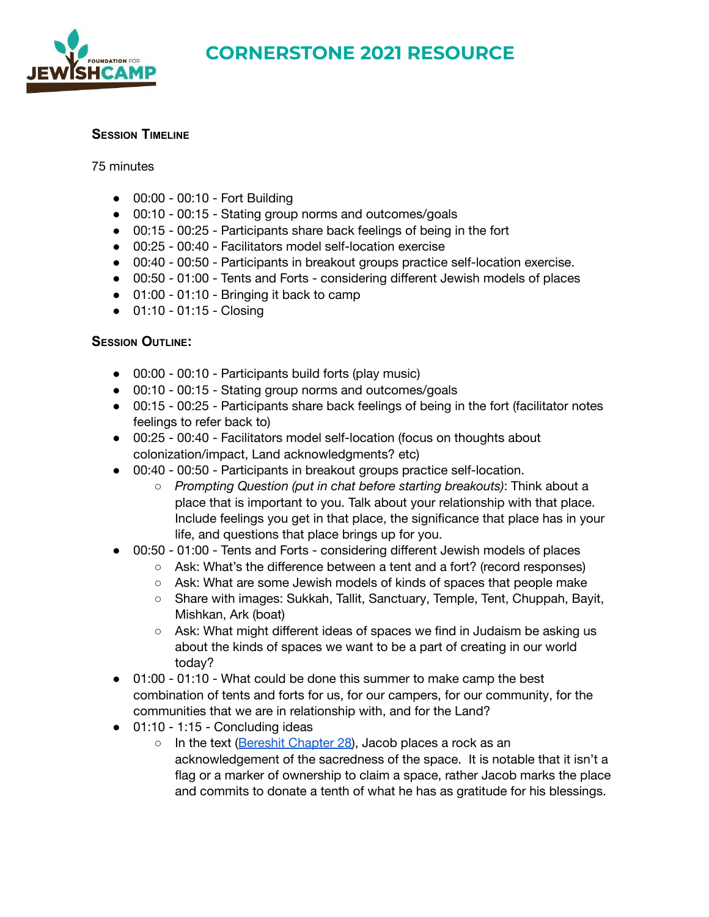

### **SESSION TIMELINE**

75 minutes

- 00:00 00:10 Fort Building
- 00:10 00:15 Stating group norms and outcomes/goals
- 00:15 00:25 Participants share back feelings of being in the fort
- 00:25 00:40 Facilitators model self-location exercise
- 00:40 00:50 Participants in breakout groups practice self-location exercise.
- 00:50 01:00 Tents and Forts considering different Jewish models of places
- 01:00 01:10 Bringing it back to camp
- 01:10 01:15 Closing

### **SESSION OUTLINE:**

- 00:00 00:10 Participants build forts (play music)
- 00:10 00:15 Stating group norms and outcomes/goals
- 00:15 00:25 Participants share back feelings of being in the fort (facilitator notes feelings to refer back to)
- 00:25 00:40 Facilitators model self-location (focus on thoughts about colonization/impact, Land acknowledgments? etc)
- 00:40 00:50 Participants in breakout groups practice self-location.
	- *Prompting Question (put in chat before starting breakouts)*: Think about a place that is important to you. Talk about your relationship with that place. Include feelings you get in that place, the significance that place has in your life, and questions that place brings up for you.
- 00:50 01:00 Tents and Forts considering different Jewish models of places
	- Ask: What's the difference between a tent and a fort? (record responses)
	- Ask: What are some Jewish models of kinds of spaces that people make
	- Share with images: Sukkah, Tallit, Sanctuary, Temple, Tent, Chuppah, Bayit, Mishkan, Ark (boat)
	- Ask: What might different ideas of spaces we find in Judaism be asking us about the kinds of spaces we want to be a part of creating in our world today?
- 01:00 01:10 What could be done this summer to make camp the best combination of tents and forts for us, for our campers, for our community, for the communities that we are in relationship with, and for the Land?
- $\bullet$  01:10 1:15 Concluding ideas
	- In the text ([Bereshit Chapter 28\)](https://docs.google.com/document/d/1-QteIbsJxZqPkNB-pDvB0snECoADH90R6590W9jaT6M/edit?usp=sharing), Jacob places a rock as an acknowledgement of the sacredness of the space. It is notable that it isn't a flag or a marker of ownership to claim a space, rather Jacob marks the place and commits to donate a tenth of what he has as gratitude for his blessings.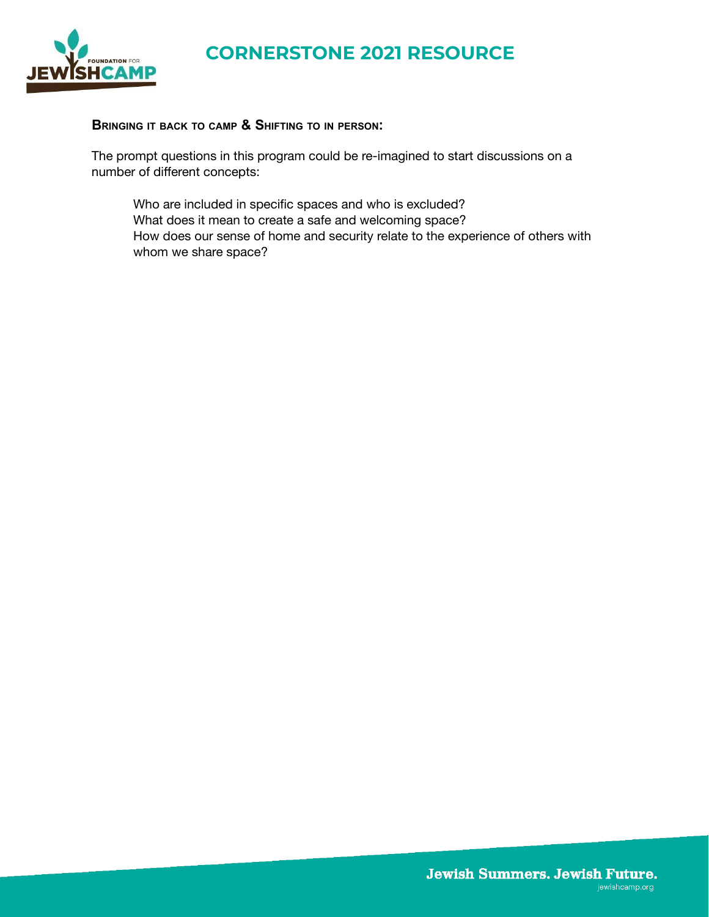

#### **BRINGING IT BACK TO CAMP & SHIFTING TO IN PERSON:**

The prompt questions in this program could be re-imagined to start discussions on a number of different concepts:

Who are included in specific spaces and who is excluded? What does it mean to create a safe and welcoming space? How does our sense of home and security relate to the experience of others with whom we share space?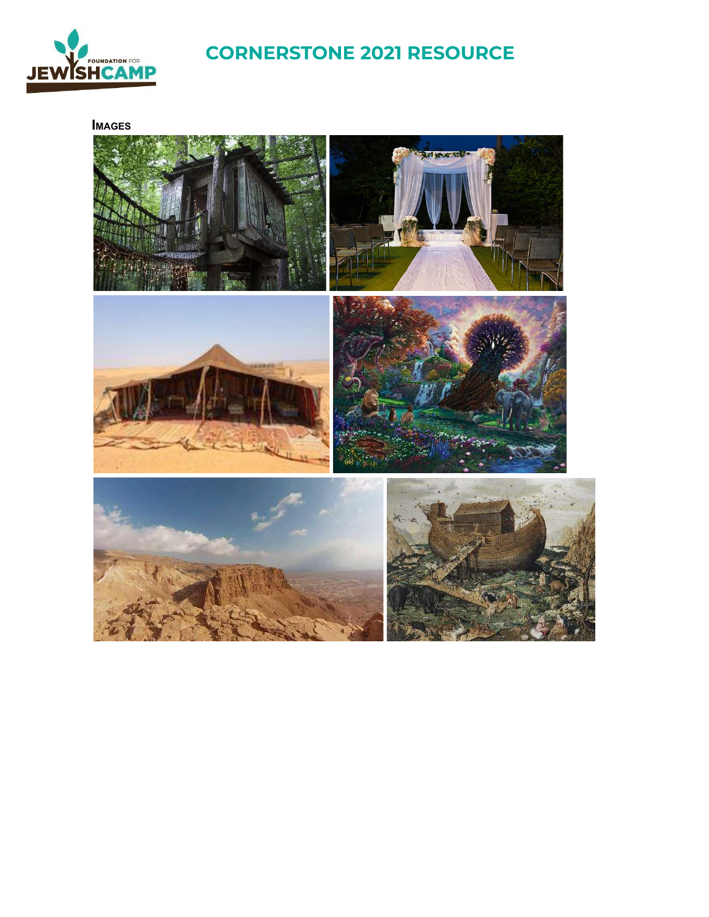

**IMAGES**